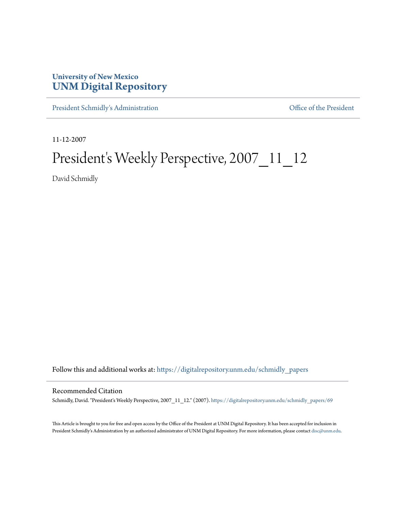## **University of New Mexico [UNM Digital Repository](https://digitalrepository.unm.edu?utm_source=digitalrepository.unm.edu%2Fschmidly_papers%2F69&utm_medium=PDF&utm_campaign=PDFCoverPages)**

[President Schmidly's Administration](https://digitalrepository.unm.edu/schmidly_papers?utm_source=digitalrepository.unm.edu%2Fschmidly_papers%2F69&utm_medium=PDF&utm_campaign=PDFCoverPages) [Office of the President](https://digitalrepository.unm.edu/ofc_president?utm_source=digitalrepository.unm.edu%2Fschmidly_papers%2F69&utm_medium=PDF&utm_campaign=PDFCoverPages)

11-12-2007

## President's Weekly Perspective, 2007\_11\_12

David Schmidly

Follow this and additional works at: [https://digitalrepository.unm.edu/schmidly\\_papers](https://digitalrepository.unm.edu/schmidly_papers?utm_source=digitalrepository.unm.edu%2Fschmidly_papers%2F69&utm_medium=PDF&utm_campaign=PDFCoverPages)

## Recommended Citation

Schmidly, David. "President's Weekly Perspective, 2007\_11\_12." (2007). [https://digitalrepository.unm.edu/schmidly\\_papers/69](https://digitalrepository.unm.edu/schmidly_papers/69?utm_source=digitalrepository.unm.edu%2Fschmidly_papers%2F69&utm_medium=PDF&utm_campaign=PDFCoverPages)

This Article is brought to you for free and open access by the Office of the President at UNM Digital Repository. It has been accepted for inclusion in President Schmidly's Administration by an authorized administrator of UNM Digital Repository. For more information, please contact [disc@unm.edu](mailto:disc@unm.edu).